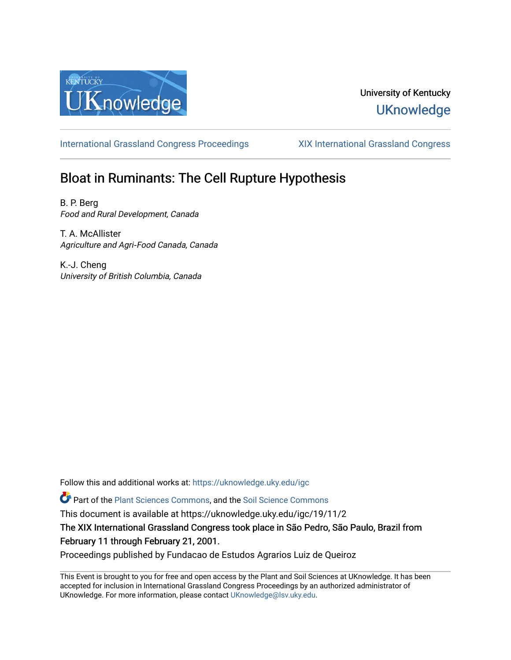

## University of Kentucky **UKnowledge**

[International Grassland Congress Proceedings](https://uknowledge.uky.edu/igc) [XIX International Grassland Congress](https://uknowledge.uky.edu/igc/19) 

# Bloat in Ruminants: The Cell Rupture Hypothesis

B. P. Berg Food and Rural Development, Canada

T. A. McAllister Agriculture and Agri‐Food Canada, Canada

K.-J. Cheng University of British Columbia, Canada

Follow this and additional works at: [https://uknowledge.uky.edu/igc](https://uknowledge.uky.edu/igc?utm_source=uknowledge.uky.edu%2Figc%2F19%2F11%2F2&utm_medium=PDF&utm_campaign=PDFCoverPages) 

Part of the [Plant Sciences Commons](http://network.bepress.com/hgg/discipline/102?utm_source=uknowledge.uky.edu%2Figc%2F19%2F11%2F2&utm_medium=PDF&utm_campaign=PDFCoverPages), and the [Soil Science Commons](http://network.bepress.com/hgg/discipline/163?utm_source=uknowledge.uky.edu%2Figc%2F19%2F11%2F2&utm_medium=PDF&utm_campaign=PDFCoverPages) 

This document is available at https://uknowledge.uky.edu/igc/19/11/2

The XIX International Grassland Congress took place in São Pedro, São Paulo, Brazil from February 11 through February 21, 2001.

Proceedings published by Fundacao de Estudos Agrarios Luiz de Queiroz

This Event is brought to you for free and open access by the Plant and Soil Sciences at UKnowledge. It has been accepted for inclusion in International Grassland Congress Proceedings by an authorized administrator of UKnowledge. For more information, please contact [UKnowledge@lsv.uky.edu](mailto:UKnowledge@lsv.uky.edu).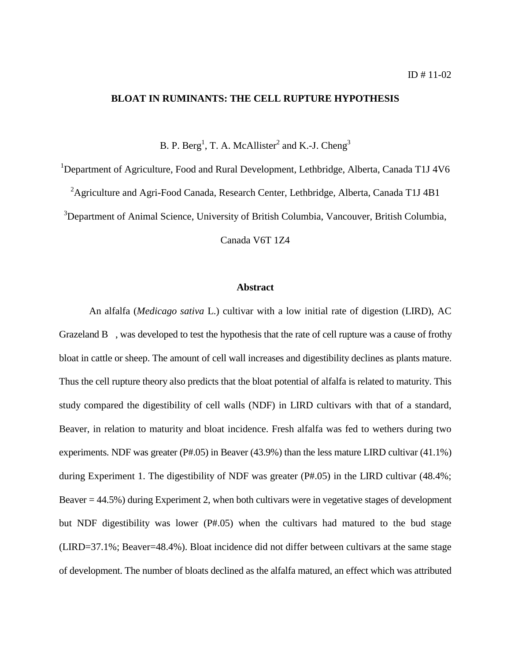### **BLOAT IN RUMINANTS: THE CELL RUPTURE HYPOTHESIS**

B. P. Berg<sup>1</sup>, T. A. McAllister<sup>2</sup> and K.-J. Cheng<sup>3</sup>

<sup>1</sup>Department of Agriculture, Food and Rural Development, Lethbridge, Alberta, Canada T1J 4V6

<sup>2</sup> Agriculture and Agri-Food Canada, Research Center, Lethbridge, Alberta, Canada T1J 4B1

<sup>3</sup>Department of Animal Science, University of British Columbia, Vancouver, British Columbia,

Canada V6T 1Z4

#### **Abstract**

An alfalfa (*Medicago sativa* L.) cultivar with a low initial rate of digestion (LIRD), AC Grazeland B , was developed to test the hypothesis that the rate of cell rupture was a cause of frothy bloat in cattle or sheep. The amount of cell wall increases and digestibility declines as plants mature. Thus the cell rupture theory also predicts that the bloat potential of alfalfa is related to maturity. This study compared the digestibility of cell walls (NDF) in LIRD cultivars with that of a standard, Beaver, in relation to maturity and bloat incidence. Fresh alfalfa was fed to wethers during two experiments. NDF was greater (P#.05) in Beaver (43.9%) than the less mature LIRD cultivar (41.1%) during Experiment 1. The digestibility of NDF was greater (P#.05) in the LIRD cultivar (48.4%; Beaver = 44.5%) during Experiment 2, when both cultivars were in vegetative stages of development but NDF digestibility was lower (P#.05) when the cultivars had matured to the bud stage (LIRD=37.1%; Beaver=48.4%). Bloat incidence did not differ between cultivars at the same stage of development. The number of bloats declined as the alfalfa matured, an effect which was attributed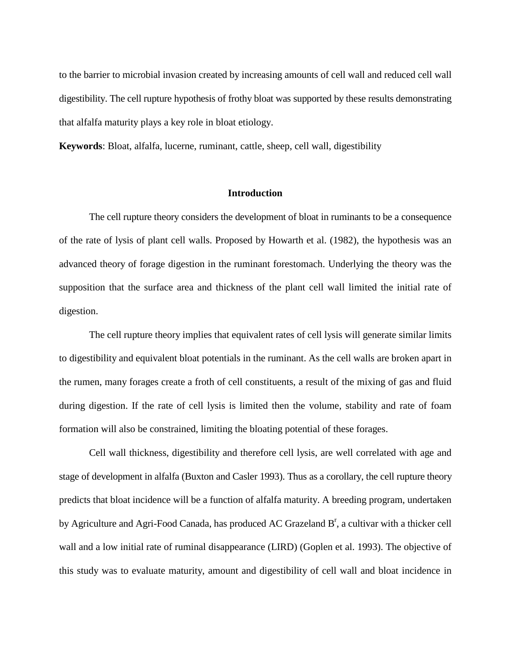to the barrier to microbial invasion created by increasing amounts of cell wall and reduced cell wall digestibility. The cell rupture hypothesis of frothy bloat was supported by these results demonstrating that alfalfa maturity plays a key role in bloat etiology.

**Keywords**: Bloat, alfalfa, lucerne, ruminant, cattle, sheep, cell wall, digestibility

#### **Introduction**

The cell rupture theory considers the development of bloat in ruminants to be a consequence of the rate of lysis of plant cell walls. Proposed by Howarth et al. (1982), the hypothesis was an advanced theory of forage digestion in the ruminant forestomach. Underlying the theory was the supposition that the surface area and thickness of the plant cell wall limited the initial rate of digestion.

The cell rupture theory implies that equivalent rates of cell lysis will generate similar limits to digestibility and equivalent bloat potentials in the ruminant. As the cell walls are broken apart in the rumen, many forages create a froth of cell constituents, a result of the mixing of gas and fluid during digestion. If the rate of cell lysis is limited then the volume, stability and rate of foam formation will also be constrained, limiting the bloating potential of these forages.

Cell wall thickness, digestibility and therefore cell lysis, are well correlated with age and stage of development in alfalfa (Buxton and Casler 1993). Thus as a corollary, the cell rupture theory predicts that bloat incidence will be a function of alfalfa maturity. A breeding program, undertaken by Agriculture and Agri-Food Canada, has produced AC Grazeland  $B^r$ , a cultivar with a thicker cell wall and a low initial rate of ruminal disappearance (LIRD) (Goplen et al. 1993). The objective of this study was to evaluate maturity, amount and digestibility of cell wall and bloat incidence in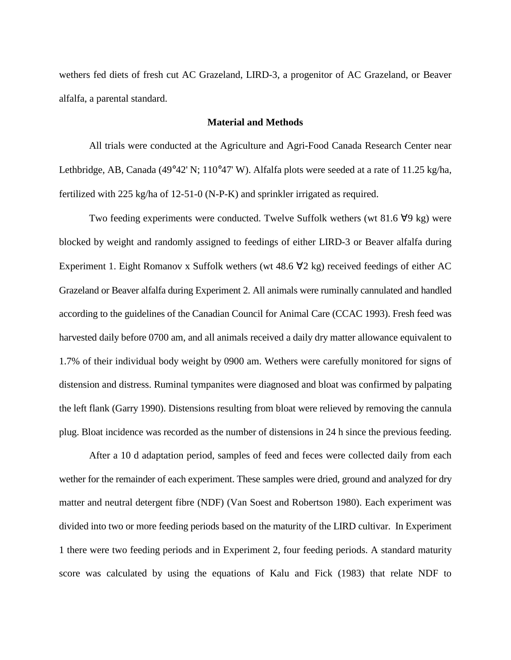wethers fed diets of fresh cut AC Grazeland, LIRD-3, a progenitor of AC Grazeland, or Beaver alfalfa, a parental standard.

#### **Material and Methods**

All trials were conducted at the Agriculture and Agri-Food Canada Research Center near Lethbridge, AB, Canada (49°42' N; 110°47' W). Alfalfa plots were seeded at a rate of 11.25 kg/ha, fertilized with 225 kg/ha of 12-51-0 (N-P-K) and sprinkler irrigated as required.

Two feeding experiments were conducted. Twelve Suffolk wethers (wt 81.6 ∀9 kg) were blocked by weight and randomly assigned to feedings of either LIRD-3 or Beaver alfalfa during Experiment 1. Eight Romanov x Suffolk wethers (wt 48.6  $\forall$ 2 kg) received feedings of either AC Grazeland or Beaver alfalfa during Experiment 2. All animals were ruminally cannulated and handled according to the guidelines of the Canadian Council for Animal Care (CCAC 1993). Fresh feed was harvested daily before 0700 am, and all animals received a daily dry matter allowance equivalent to 1.7% of their individual body weight by 0900 am. Wethers were carefully monitored for signs of distension and distress. Ruminal tympanites were diagnosed and bloat was confirmed by palpating the left flank (Garry 1990). Distensions resulting from bloat were relieved by removing the cannula plug. Bloat incidence was recorded as the number of distensions in 24 h since the previous feeding.

After a 10 d adaptation period, samples of feed and feces were collected daily from each wether for the remainder of each experiment. These samples were dried, ground and analyzed for dry matter and neutral detergent fibre (NDF) (Van Soest and Robertson 1980). Each experiment was divided into two or more feeding periods based on the maturity of the LIRD cultivar. In Experiment 1 there were two feeding periods and in Experiment 2, four feeding periods. A standard maturity score was calculated by using the equations of Kalu and Fick (1983) that relate NDF to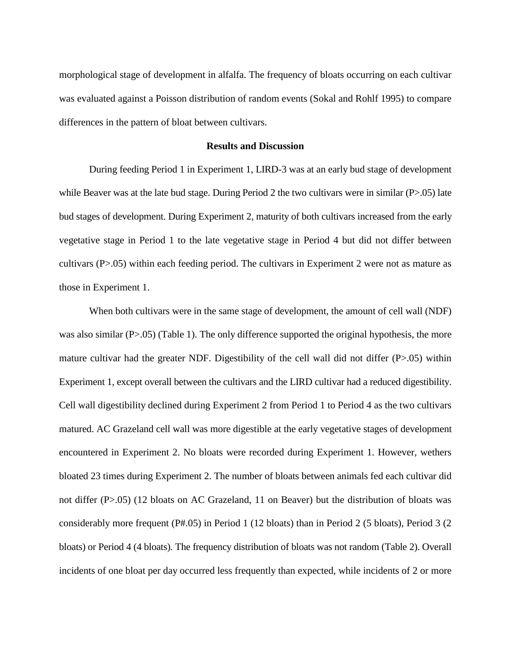morphological stage of development in alfalfa. The frequency of bloats occurring on each cultivar was evaluated against a Poisson distribution of random events (Sokal and Rohlf 1995) to compare differences in the pattern of bloat between cultivars.

#### **Results and Discussion**

During feeding Period 1 in Experiment 1, LIRD-3 was at an early bud stage of development while Beaver was at the late bud stage. During Period 2 the two cultivars were in similar (P>.05) late bud stages of development. During Experiment 2, maturity of both cultivars increased from the early vegetative stage in Period 1 to the late vegetative stage in Period 4 but did not differ between cultivars (P>.05) within each feeding period. The cultivars in Experiment 2 were not as mature as those in Experiment 1.

When both cultivars were in the same stage of development, the amount of cell wall (NDF) was also similar (P>.05) (Table 1). The only difference supported the original hypothesis, the more mature cultivar had the greater NDF. Digestibility of the cell wall did not differ (P>.05) within Experiment 1, except overall between the cultivars and the LIRD cultivar had a reduced digestibility. Cell wall digestibility declined during Experiment 2 from Period 1 to Period 4 as the two cultivars matured. AC Grazeland cell wall was more digestible at the early vegetative stages of development encountered in Experiment 2. No bloats were recorded during Experiment 1. However, wethers bloated 23 times during Experiment 2. The number of bloats between animals fed each cultivar did not differ (P>.05) (12 bloats on AC Grazeland, 11 on Beaver) but the distribution of bloats was considerably more frequent (P#.05) in Period 1 (12 bloats) than in Period 2 (5 bloats), Period 3 (2 bloats) or Period 4 (4 bloats). The frequency distribution of bloats was not random (Table 2). Overall incidents of one bloat per day occurred less frequently than expected, while incidents of 2 or more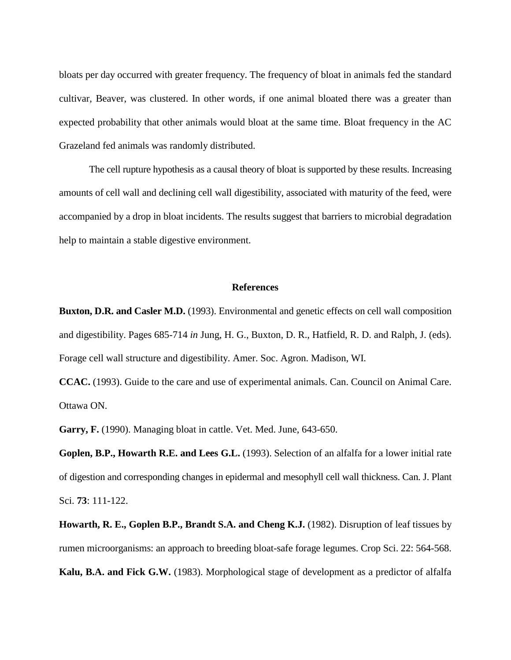bloats per day occurred with greater frequency. The frequency of bloat in animals fed the standard cultivar, Beaver, was clustered. In other words, if one animal bloated there was a greater than expected probability that other animals would bloat at the same time. Bloat frequency in the AC Grazeland fed animals was randomly distributed.

The cell rupture hypothesis as a causal theory of bloat is supported by these results. Increasing amounts of cell wall and declining cell wall digestibility, associated with maturity of the feed, were accompanied by a drop in bloat incidents. The results suggest that barriers to microbial degradation help to maintain a stable digestive environment.

#### **References**

**Buxton, D.R. and Casler M.D.** (1993). Environmental and genetic effects on cell wall composition and digestibility. Pages 685-714 *in* Jung, H. G., Buxton, D. R., Hatfield, R. D. and Ralph, J. (eds). Forage cell wall structure and digestibility. Amer. Soc. Agron. Madison, WI.

**CCAC.** (1993). Guide to the care and use of experimental animals. Can. Council on Animal Care. Ottawa ON.

**Garry, F.** (1990). Managing bloat in cattle. Vet. Med. June, 643-650.

**Goplen, B.P., Howarth R.E. and Lees G.L.** (1993). Selection of an alfalfa for a lower initial rate of digestion and corresponding changes in epidermal and mesophyll cell wall thickness. Can. J. Plant Sci. **73**: 111-122.

**Howarth, R. E., Goplen B.P., Brandt S.A. and Cheng K.J.** (1982). Disruption of leaf tissues by rumen microorganisms: an approach to breeding bloat-safe forage legumes. Crop Sci. 22: 564-568. **Kalu, B.A. and Fick G.W.** (1983). Morphological stage of development as a predictor of alfalfa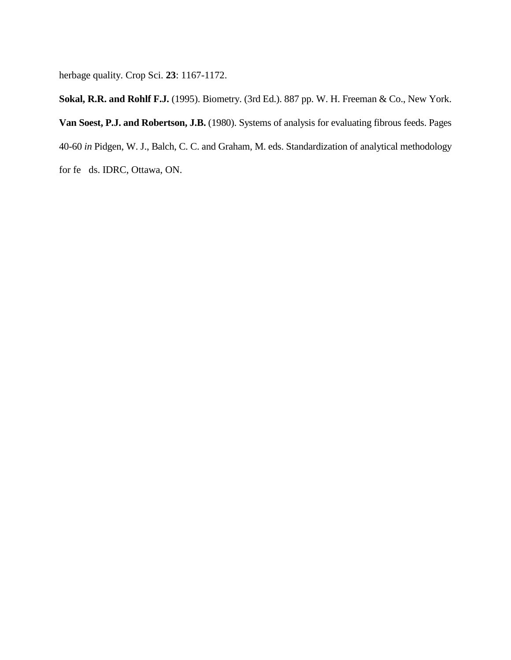herbage quality. Crop Sci. **23**: 1167-1172.

**Sokal, R.R. and Rohlf F.J.** (1995). Biometry. (3rd Ed.). 887 pp. W. H. Freeman & Co., New York. **Van Soest, P.J. and Robertson, J.B.** (1980). Systems of analysis for evaluating fibrous feeds. Pages 40-60 *in* Pidgen, W. J., Balch, C. C. and Graham, M. eds. Standardization of analytical methodology for fe ds. IDRC, Ottawa, ON.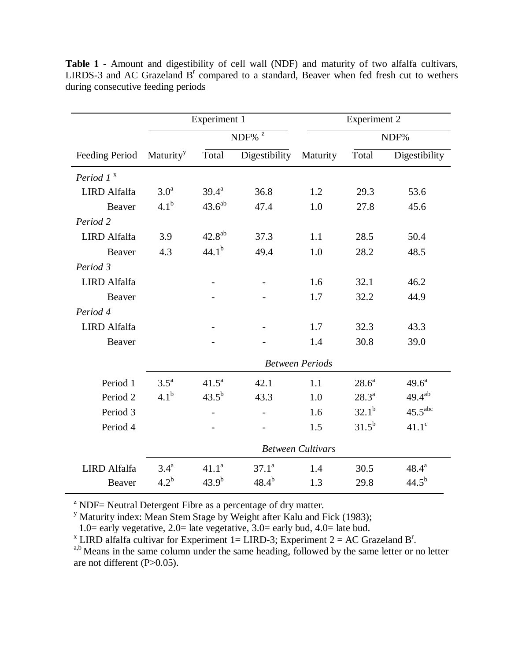|                     | Experiment 1             |                              |               | <b>Experiment 2</b> |            |                     |  |  |  |
|---------------------|--------------------------|------------------------------|---------------|---------------------|------------|---------------------|--|--|--|
|                     |                          | $\mbox{NDF}\%$ $^{\mbox{z}}$ |               |                     | NDF%       |                     |  |  |  |
| Feeding Period      | Maturity <sup>y</sup>    | Total                        | Digestibility | Maturity            | Total      | Digestibility       |  |  |  |
| Period $1^x$        |                          |                              |               |                     |            |                     |  |  |  |
| <b>LIRD</b> Alfalfa | 3.0 <sup>a</sup>         | $39.4^a$                     | 36.8          | 1.2                 | 29.3       | 53.6                |  |  |  |
| Beaver              | 4.1 <sup>b</sup>         | $43.6^{ab}$                  | 47.4          | 1.0                 | 27.8       | 45.6                |  |  |  |
| Period 2            |                          |                              |               |                     |            |                     |  |  |  |
| <b>LIRD</b> Alfalfa | 3.9                      | $42.8^{ab}$                  | 37.3          | 1.1                 | 28.5       | 50.4                |  |  |  |
| Beaver              | 4.3                      | $44.1^{b}$                   | 49.4          | 1.0                 | 28.2       | 48.5                |  |  |  |
| Period 3            |                          |                              |               |                     |            |                     |  |  |  |
| <b>LIRD</b> Alfalfa |                          |                              |               | 1.6                 | 32.1       | 46.2                |  |  |  |
| Beaver              |                          |                              |               | 1.7                 | 32.2       | 44.9                |  |  |  |
| Period 4            |                          |                              |               |                     |            |                     |  |  |  |
| <b>LIRD</b> Alfalfa |                          |                              |               | 1.7                 | 32.3       | 43.3                |  |  |  |
| Beaver              |                          |                              |               | 1.4                 | 30.8       | 39.0                |  |  |  |
|                     | <b>Between Periods</b>   |                              |               |                     |            |                     |  |  |  |
| Period 1            | $3.5^{\rm a}$            | $41.5^a$                     | 42.1          | 1.1                 | $28.6^a$   | $49.6^{\text{a}}$   |  |  |  |
| Period <sub>2</sub> | 4.1 <sup>b</sup>         | $43.5^{b}$                   | 43.3          | 1.0                 | $28.3^{a}$ | $49.4^{ab}$         |  |  |  |
| Period 3            |                          |                              |               | 1.6                 | $32.1^{b}$ | 45.5 <sup>abc</sup> |  |  |  |
| Period 4            |                          |                              |               | 1.5                 | $31.5^{b}$ | $41.1^\circ$        |  |  |  |
|                     | <b>Between Cultivars</b> |                              |               |                     |            |                     |  |  |  |
| <b>LIRD</b> Alfalfa | 3.4 <sup>a</sup>         | $41.1^a$                     | $37.1^a$      | 1.4                 | 30.5       | $48.4^{\rm a}$      |  |  |  |
| Beaver              | $4.2^b$                  | $43.9^{b}$                   | $48.4^{b}$    | 1.3                 | 29.8       | $44.5^{b}$          |  |  |  |

**Table 1 -** Amount and digestibility of cell wall (NDF) and maturity of two alfalfa cultivars, LIRDS-3 and AC Grazeland  $B<sup>r</sup>$  compared to a standard, Beaver when fed fresh cut to wethers during consecutive feeding periods

 $Z^z$  NDF= Neutral Detergent Fibre as a percentage of dry matter.

<sup>y</sup> Maturity index: Mean Stem Stage by Weight after Kalu and Fick (1983);

1.0= early vegetative, 2.0= late vegetative, 3.0= early bud, 4.0= late bud.

<sup>x</sup> LIRD alfalfa cultivar for Experiment 1= LIRD-3; Experiment 2 = AC Grazeland B<sup>r</sup>

<sup>a,b</sup> Means in the same column under the same heading, followed by the same letter or no letter are not different (P>0.05).